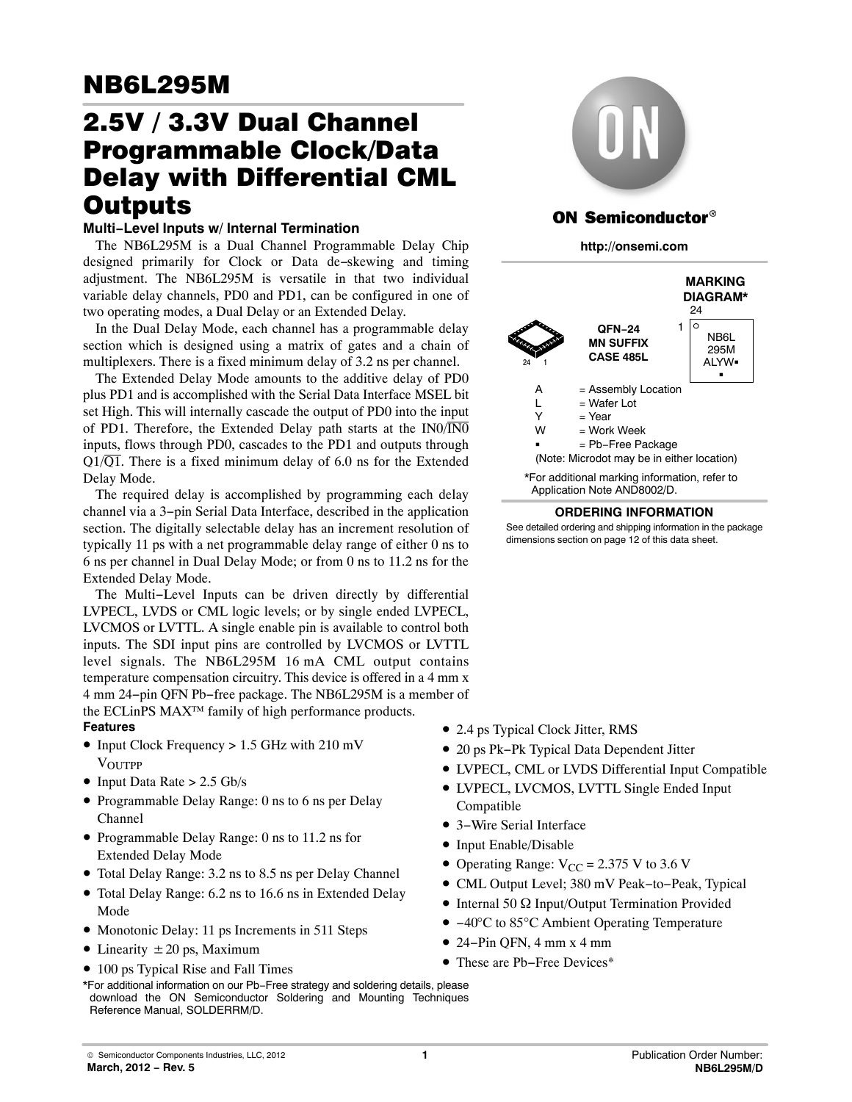# 2.5V / 3.3V Dual Channel Programmable Clock/Data Delay with Differential CML **Outputs**

# Outputs **Multi−Level Inputs w/ Internal Termination**

The NB6L295M is a Dual Channel Programmable Delay Chip designed primarily for Clock or Data de−skewing and timing adjustment. The NB6L295M is versatile in that two individual variable delay channels, PD0 and PD1, can be configured in one of two operating modes, a Dual Delay or an Extended Delay.

In the Dual Delay Mode, each channel has a programmable delay section which is designed using a matrix of gates and a chain of multiplexers. There is a fixed minimum delay of 3.2 ns per channel.

The Extended Delay Mode amounts to the additive delay of PD0 plus PD1 and is accomplished with the Serial Data Interface MSEL bit set High. This will internally cascade the output of PD0 into the input of PD1. Therefore, the Extended Delay path starts at the  $IN0/\overline{IN0}$ inputs, flows through PD0, cascades to the PD1 and outputs through  $Q1/\overline{Q1}$ . There is a fixed minimum delay of 6.0 ns for the Extended Delay Mode.

The required delay is accomplished by programming each delay channel via a 3−pin Serial Data Interface, described in the application section. The digitally selectable delay has an increment resolution of typically 11 ps with a net programmable delay range of either 0 ns to 6 ns per channel in Dual Delay Mode; or from 0 ns to 11.2 ns for the Extended Delay Mode.

The Multi−Level Inputs can be driven directly by differential LVPECL, LVDS or CML logic levels; or by single ended LVPECL, LVCMOS or LVTTL. A single enable pin is available to control both inputs. The SDI input pins are controlled by LVCMOS or LVTTL level signals. The NB6L295M 16 mA CML output contains temperature compensation circuitry. This device is offered in a 4 mm x 4 mm 24−pin QFN Pb−free package. The NB6L295M is a member of the ECLinPS MAX™ family of high performance products.

## **Features**

- Input Clock Frequency > 1.5 GHz with 210 mV **VOUTPP**
- Input Data Rate  $> 2.5$  Gb/s
- Programmable Delay Range: 0 ns to 6 ns per Delay Channel
- Programmable Delay Range: 0 ns to 11.2 ns for Extended Delay Mode
- Total Delay Range: 3.2 ns to 8.5 ns per Delay Channel
- Total Delay Range: 6.2 ns to 16.6 ns in Extended Delay Mode
- Monotonic Delay: 11 ps Increments in 511 Steps
- Linearity  $\pm 20$  ps, Maximum
- 100 ps Typical Rise and Fall Times





# **ON Semiconductor®**

**http://onsemi.com**



### **ORDERING INFORMATION**

See detailed ordering and shipping information in the package dimensions section on page [12](#page-11-0) of this data sheet.

- 2.4 ps Typical Clock Jitter, RMS
- 20 ps Pk−Pk Typical Data Dependent Jitter
- LVPECL, CML or LVDS Differential Input Compatible
- LVPECL, LVCMOS, LVTTL Single Ended Input Compatible
- 3−Wire Serial Interface
- Input Enable/Disable
- Operating Range:  $V_{CC} = 2.375$  V to 3.6 V
- CML Output Level; 380 mV Peak−to−Peak, Typical
- $\bullet$  Internal 50  $\Omega$  Input/Output Termination Provided
- −40°C to 85°C Ambient Operating Temperature
- 24−Pin QFN, 4 mm x 4 mm
- These are Pb−Free Devices\*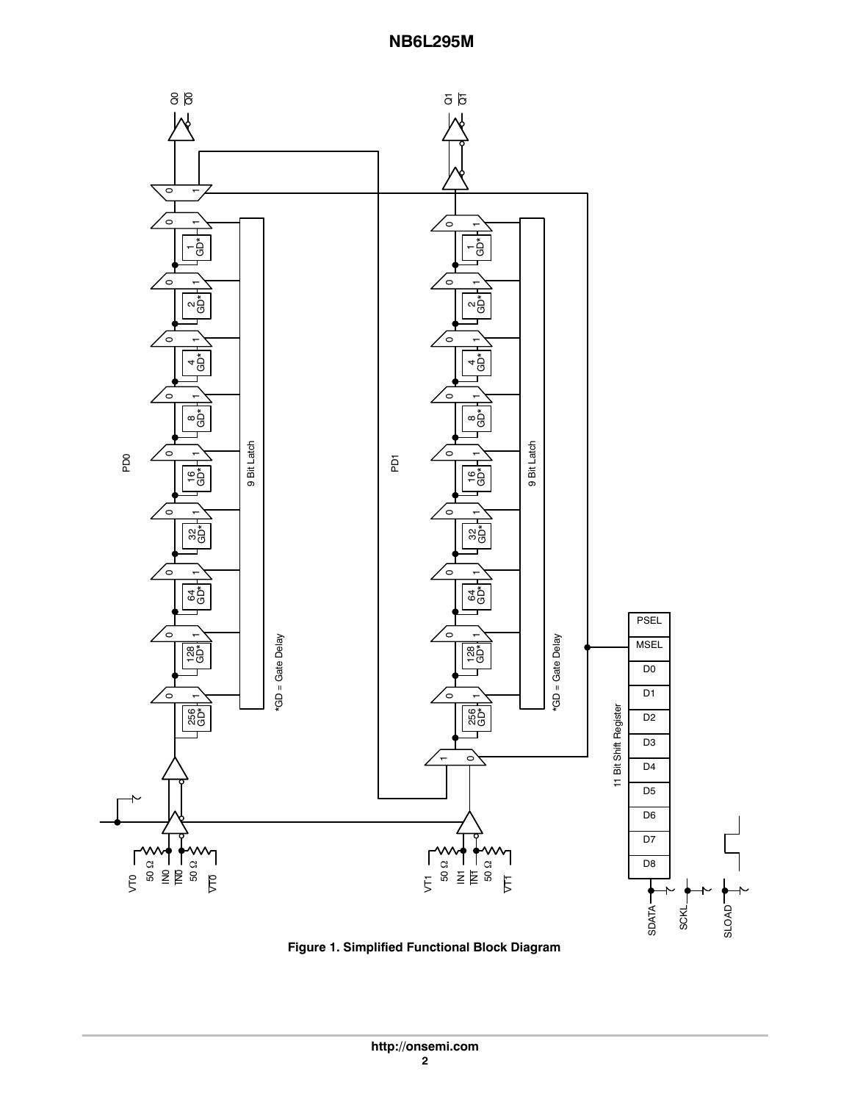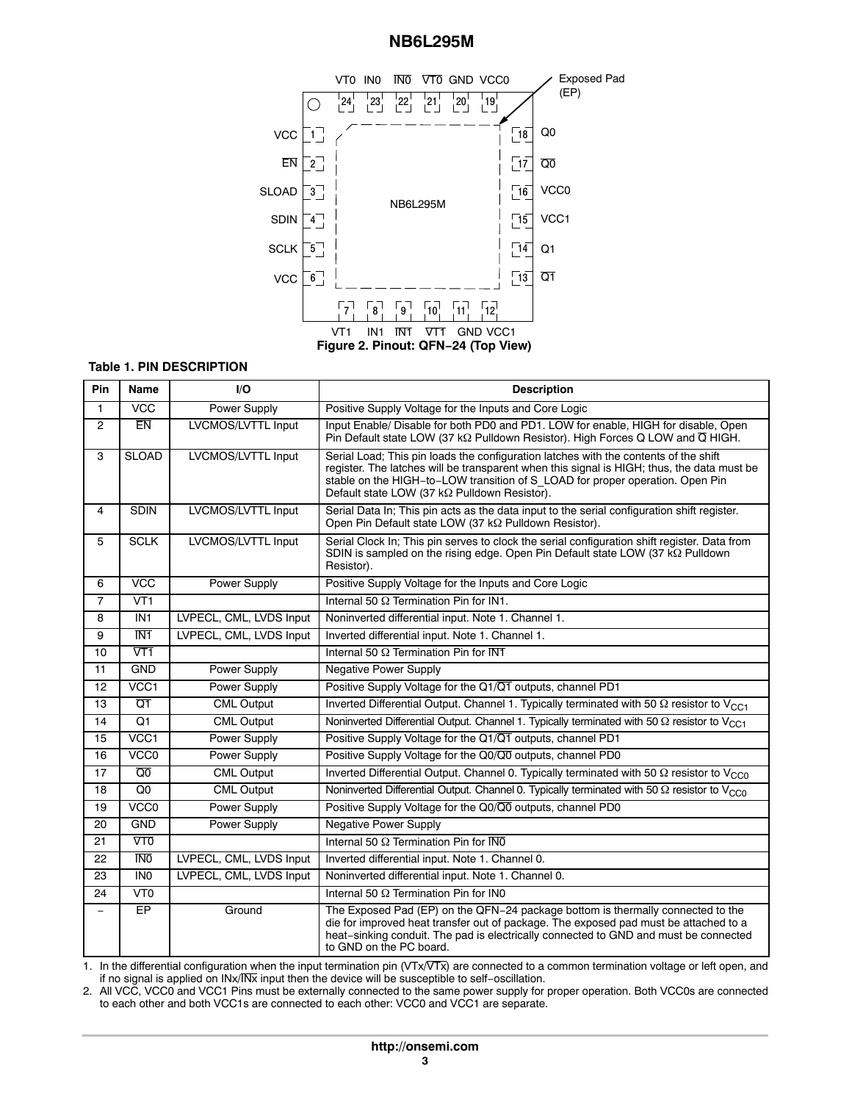

### **Table 1. PIN DESCRIPTION**

| Pin            | Name              | I/O                     | <b>Description</b>                                                                                                                                                                                                                                                                                                  |
|----------------|-------------------|-------------------------|---------------------------------------------------------------------------------------------------------------------------------------------------------------------------------------------------------------------------------------------------------------------------------------------------------------------|
| 1              | $\overline{VCC}$  | <b>Power Supply</b>     | Positive Supply Voltage for the Inputs and Core Logic                                                                                                                                                                                                                                                               |
| $\overline{2}$ | <b>EN</b>         | LVCMOS/LVTTL Input      | Input Enable/ Disable for both PD0 and PD1. LOW for enable, HIGH for disable, Open<br>Pin Default state LOW (37 k $\Omega$ Pulldown Resistor). High Forces Q LOW and $\overline{Q}$ HIGH.                                                                                                                           |
| 3              | <b>SLOAD</b>      | LVCMOS/LVTTL Input      | Serial Load; This pin loads the configuration latches with the contents of the shift<br>register. The latches will be transparent when this signal is HIGH; thus, the data must be<br>stable on the HIGH-to-LOW transition of S LOAD for proper operation. Open Pin<br>Default state LOW (37 kΩ Pulldown Resistor). |
| $\overline{4}$ | <b>SDIN</b>       | LVCMOS/LVTTL Input      | Serial Data In; This pin acts as the data input to the serial configuration shift register.<br>Open Pin Default state LOW (37 kΩ Pulldown Resistor).                                                                                                                                                                |
| 5              | <b>SCLK</b>       | LVCMOS/LVTTL Input      | Serial Clock In; This pin serves to clock the serial configuration shift register. Data from<br>SDIN is sampled on the rising edge. Open Pin Default state LOW (37 kΩ Pulldown<br>Resistor).                                                                                                                        |
| 6              | <b>VCC</b>        | Power Supply            | Positive Supply Voltage for the Inputs and Core Logic                                                                                                                                                                                                                                                               |
| $\overline{7}$ | $\overline{VI}$   |                         | Internal 50 $\Omega$ Termination Pin for IN1.                                                                                                                                                                                                                                                                       |
| 8              | IN <sub>1</sub>   | LVPECL, CML, LVDS Input | Noninverted differential input. Note 1. Channel 1.                                                                                                                                                                                                                                                                  |
| 9              | $\overline{IN1}$  | LVPECL, CML, LVDS Input | Inverted differential input. Note 1. Channel 1.                                                                                                                                                                                                                                                                     |
| 10             | $\sqrt{11}$       |                         | Internal 50 $\Omega$ Termination Pin for $\overline{\text{N1}}$                                                                                                                                                                                                                                                     |
| 11             | <b>GND</b>        | <b>Power Supply</b>     | <b>Negative Power Supply</b>                                                                                                                                                                                                                                                                                        |
| 12             | VCC1              | Power Supply            | Positive Supply Voltage for the Q1/Q1 outputs, channel PD1                                                                                                                                                                                                                                                          |
| 13             | $\overline{Q1}$   | <b>CML Output</b>       | Inverted Differential Output. Channel 1. Typically terminated with 50 $\Omega$ resistor to V <sub>CC1</sub>                                                                                                                                                                                                         |
| 14             | $\overline{Q1}$   | <b>CML Output</b>       | Noninverted Differential Output. Channel 1. Typically terminated with 50 $\Omega$ resistor to V <sub>CC1</sub>                                                                                                                                                                                                      |
| 15             | VCC1              | <b>Power Supply</b>     | Positive Supply Voltage for the Q1/Q1 outputs, channel PD1                                                                                                                                                                                                                                                          |
| 16             | VCC <sub>0</sub>  | Power Supply            | Positive Supply Voltage for the Q0/Q0 outputs, channel PD0                                                                                                                                                                                                                                                          |
| 17             | $\overline{Q}0$   | <b>CML Output</b>       | Inverted Differential Output. Channel 0. Typically terminated with 50 $\Omega$ resistor to V <sub>CC0</sub>                                                                                                                                                                                                         |
| 18             | Q <sub>0</sub>    | <b>CML Output</b>       | Noninverted Differential Output. Channel 0. Typically terminated with 50 $\Omega$ resistor to V <sub>CC0</sub>                                                                                                                                                                                                      |
| 19             | VCC <sub>0</sub>  | <b>Power Supply</b>     | Positive Supply Voltage for the Q0/Q0 outputs, channel PD0                                                                                                                                                                                                                                                          |
| 20             | <b>GND</b>        | Power Supply            | <b>Negative Power Supply</b>                                                                                                                                                                                                                                                                                        |
| 21             | $\sqrt{10}$       |                         | Internal 50 $\Omega$ Termination Pin for $\overline{\text{NO}}$                                                                                                                                                                                                                                                     |
| 22             | <b>TNO</b>        | LVPECL, CML, LVDS Input | Inverted differential input. Note 1. Channel 0.                                                                                                                                                                                                                                                                     |
| 23             | IN <sub>0</sub>   | LVPECL, CML, LVDS Input | Noninverted differential input. Note 1. Channel 0.                                                                                                                                                                                                                                                                  |
| 24             | $\overline{V}$ TO |                         | Internal 50 $\Omega$ Termination Pin for IN0                                                                                                                                                                                                                                                                        |
|                | EP                | Ground                  | The Exposed Pad (EP) on the QFN-24 package bottom is thermally connected to the<br>die for improved heat transfer out of package. The exposed pad must be attached to a<br>heat-sinking conduit. The pad is electrically connected to GND and must be connected<br>to GND on the PC board.                          |

1. In the differential configuration when the input termination pin (VTx/VTx) are connected to a common termination voltage or left open, and if no signal is applied on INx/INx input then the device will be susceptible to self−oscillation.

2. All VCC, VCC0 and VCC1 Pins must be externally connected to the same power supply for proper operation. Both VCC0s are connected to each other and both VCC1s are connected to each other: VCC0 and VCC1 are separate.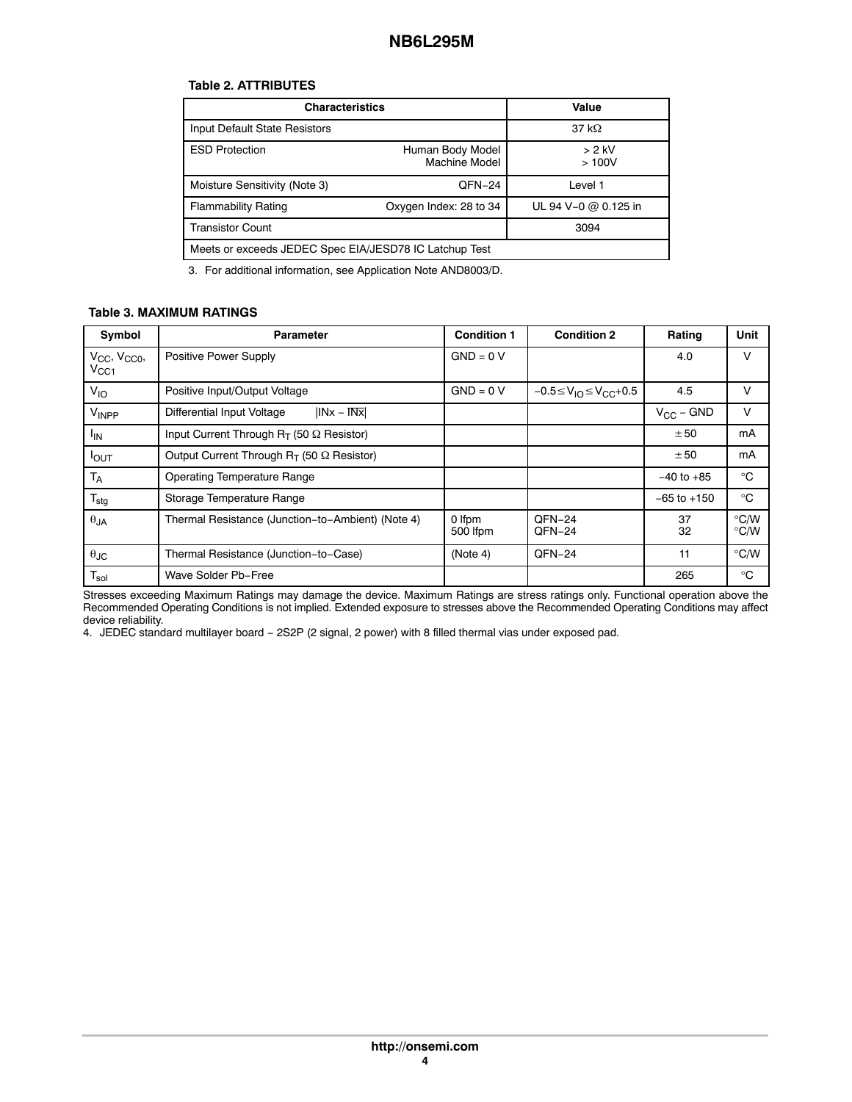## **Table 2. ATTRIBUTES**

| <b>Characteristics</b>                                 |                                   | Value                |  |  |  |
|--------------------------------------------------------|-----------------------------------|----------------------|--|--|--|
| Input Default State Resistors                          |                                   | 37 k $\Omega$        |  |  |  |
| <b>ESD Protection</b>                                  | Human Body Model<br>Machine Model | > 2 kV<br>>100V      |  |  |  |
| Moisture Sensitivity (Note 3)                          | QFN-24                            | Level 1              |  |  |  |
| <b>Flammability Rating</b>                             | Oxygen Index: 28 to 34            | UL 94 V-0 @ 0.125 in |  |  |  |
| <b>Transistor Count</b>                                | 3094                              |                      |  |  |  |
| Meets or exceeds JEDEC Spec EIA/JESD78 IC Latchup Test |                                   |                      |  |  |  |

3. For additional information, see Application Note AND8003/D.

### **Table 3. MAXIMUM RATINGS**

| Symbol                                  | <b>Parameter</b>                                    | <b>Condition 1</b> | <b>Condition 2</b>                 | Rating          | Unit                           |
|-----------------------------------------|-----------------------------------------------------|--------------------|------------------------------------|-----------------|--------------------------------|
| $V_{CC}$ , $V_{CC0}$ ,<br>$V_{\rm CC1}$ | Positive Power Supply                               | $GND = 0 V$        |                                    | 4.0             | v                              |
| V <sub>IO</sub>                         | Positive Input/Output Voltage                       | $GND = 0 V$        | $-0.5 \leq V_{10} \leq V_{CC}+0.5$ | 4.5             | v                              |
| VINPP                                   | $ INx - INx $<br>Differential Input Voltage         |                    |                                    | $V_{CC}$ – GND  | v                              |
| <sup>I</sup> IN                         | Input Current Through $R_T$ (50 $\Omega$ Resistor)  |                    |                                    | ± 50            | mA                             |
| <b>I</b> OUT                            | Output Current Through $R_T$ (50 $\Omega$ Resistor) |                    |                                    | ± 50            | mA                             |
| T <sub>A</sub>                          | <b>Operating Temperature Range</b>                  |                    |                                    | $-40$ to $+85$  | $^{\circ}C$                    |
| $T_{\text{stg}}$                        | Storage Temperature Range                           |                    |                                    | $-65$ to $+150$ | $^{\circ}C$                    |
| $\theta$ JA                             | Thermal Resistance (Junction-to-Ambient) (Note 4)   | 0 Ifpm<br>500 lfpm | QFN-24<br>QFN-24                   | 37<br>32        | $\degree$ C/W<br>$\degree$ C/W |
| $\theta$ JC                             | Thermal Resistance (Junction-to-Case)               | (Note 4)           | QFN-24                             | 11              | $\degree$ C/W                  |
| $T_{sol}$                               | Wave Solder Pb-Free                                 |                    |                                    | 265             | $^{\circ}C$                    |

Stresses exceeding Maximum Ratings may damage the device. Maximum Ratings are stress ratings only. Functional operation above the Recommended Operating Conditions is not implied. Extended exposure to stresses above the Recommended Operating Conditions may affect device reliability.

4. JEDEC standard multilayer board − 2S2P (2 signal, 2 power) with 8 filled thermal vias under exposed pad.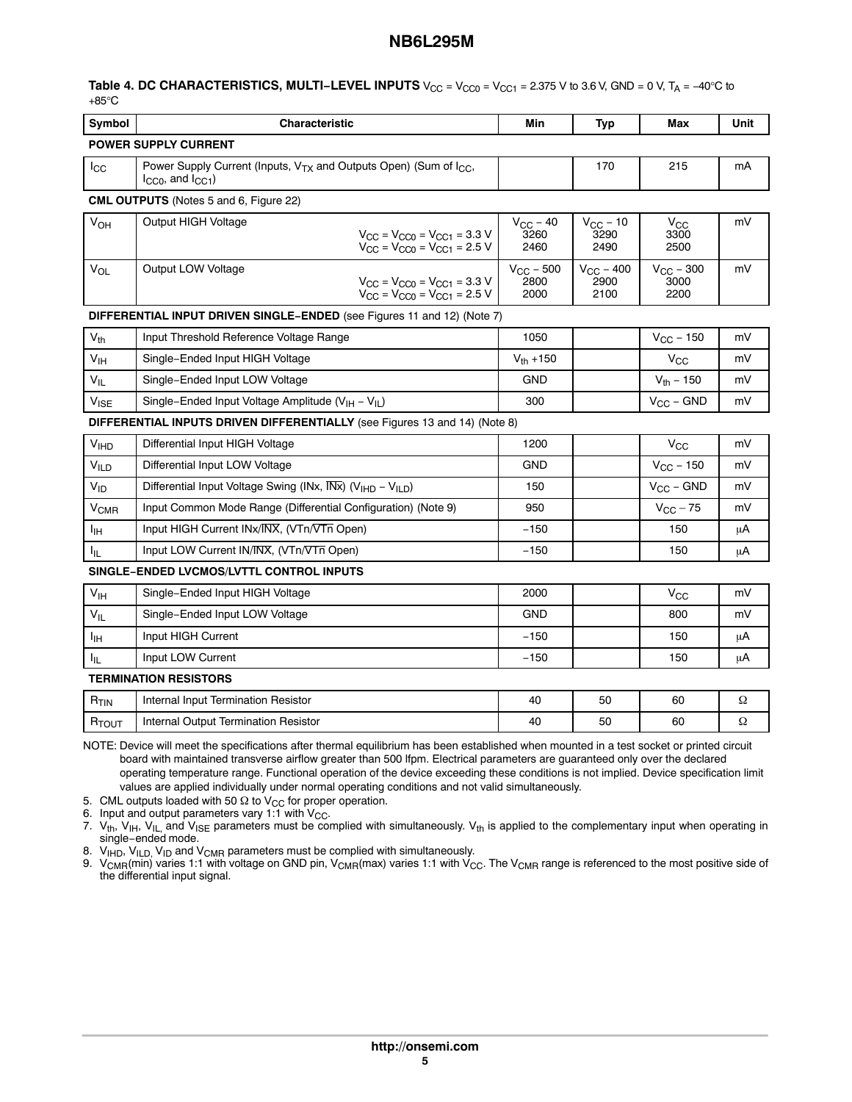### Table 4. DC CHARACTERISTICS, MULTI-LEVEL INPUTS V<sub>CC</sub> = V<sub>CC0</sub> = V<sub>CC1</sub> = 2.375 V to 3.6 V, GND = 0 V, T<sub>A</sub> = −40°C to +85°C

| Symbol            | Characteristic                                                                                                           | Min                                   | <b>Typ</b>                            | Max                                   | Unit |
|-------------------|--------------------------------------------------------------------------------------------------------------------------|---------------------------------------|---------------------------------------|---------------------------------------|------|
|                   | <b>POWER SUPPLY CURRENT</b>                                                                                              |                                       |                                       |                                       |      |
| $I_{\rm CC}$      | Power Supply Current (Inputs, V <sub>TX</sub> and Outputs Open) (Sum of I <sub>CC</sub> ,<br>$I_{CCO}$ , and $I_{CC1}$ ) |                                       | 170                                   | 215                                   | mA   |
|                   | CML OUTPUTS (Notes 5 and 6, Figure 22)                                                                                   |                                       |                                       |                                       |      |
| V <sub>OH</sub>   | Output HIGH Voltage<br>$V_{CC}$ = $V_{CC0}$ = $V_{CC1}$ = 3.3 V<br>$V_{CC}$ = $V_{CC0}$ = $V_{CC1}$ = 2.5 V              | $V_{CC}$ – 40<br>3260<br>2460         | $V_{CC}$ – 10<br>3290<br>2490         | $V_{\rm CC}$<br>3300<br>2500          | mV   |
| V <sub>OL</sub>   | Output LOW Voltage<br>$V_{CC}$ = $V_{CC0}$ = $V_{CC1}$ = 3.3 V<br>$V_{CC}$ = $V_{CC0}$ = $V_{CC1}$ = 2.5 V               | $V_{\text{CC}}$ – 500<br>2800<br>2000 | $V_{\text{CC}}$ – 400<br>2900<br>2100 | $V_{\text{CC}}$ – 300<br>3000<br>2200 | mV   |
|                   | DIFFERENTIAL INPUT DRIVEN SINGLE-ENDED (see Figures 11 and 12) (Note 7)                                                  |                                       |                                       |                                       |      |
| $V_{th}$          | Input Threshold Reference Voltage Range                                                                                  | 1050                                  |                                       | $V_{\text{CC}} - 150$                 | mV   |
| $V_{\text{IH}}$   | Single-Ended Input HIGH Voltage                                                                                          | $V_{th} + 150$                        |                                       | $V_{\rm CC}$                          | mV   |
| $V_{IL}$          | Single-Ended Input LOW Voltage                                                                                           | <b>GND</b>                            |                                       | $V_{th} - 150$                        | mV   |
| $V_{\text{ISE}}$  | Single-Ended Input Voltage Amplitude (V <sub>IH</sub> - V <sub>IL</sub> )                                                | 300                                   |                                       | $V_{CC}$ – GND                        | mV   |
|                   | DIFFERENTIAL INPUTS DRIVEN DIFFERENTIALLY (see Figures 13 and 14) (Note 8)                                               |                                       |                                       |                                       |      |
| V <sub>H</sub> D  | Differential Input HIGH Voltage                                                                                          | 1200                                  |                                       | $V_{\rm CC}$                          | mV   |
| <b>VILD</b>       | Differential Input LOW Voltage                                                                                           | <b>GND</b>                            |                                       | $V_{CC}$ – 150                        | mV   |
| $V_{ID}$          | Differential Input Voltage Swing (INx, INX) (V <sub>IHD</sub> - V <sub>ILD</sub> )                                       | 150                                   |                                       | $V_{CC}$ – GND                        | mV   |
| $V_{CMR}$         | Input Common Mode Range (Differential Configuration) (Note 9)                                                            | 950                                   |                                       | $V_{CC}$ – 75                         | mV   |
| Īщ                | Input HIGH Current INx/INX, (VTn/VTn Open)                                                                               | $-150$                                |                                       | 150                                   | μA   |
| I <sub>IL</sub>   | Input LOW Current IN/INX, (VTn/VTn Open)                                                                                 | $-150$                                |                                       | 150                                   | μA   |
|                   | SINGLE-ENDED LVCMOS/LVTTL CONTROL INPUTS                                                                                 |                                       |                                       |                                       |      |
| V <sub>IH</sub>   | Single-Ended Input HIGH Voltage                                                                                          | 2000                                  |                                       | $V_{\rm CC}$                          | mV   |
| $V_{IL}$          | Single-Ended Input LOW Voltage                                                                                           | <b>GND</b>                            |                                       | 800                                   | mV   |
| Iн                | Input HIGH Current                                                                                                       | $-150$                                |                                       | 150                                   | μA   |
| ŀμ                | Input LOW Current                                                                                                        | $-150$                                |                                       | 150                                   | μA   |
|                   | <b>TERMINATION RESISTORS</b>                                                                                             |                                       |                                       |                                       |      |
| R <sub>TIN</sub>  | Internal Input Termination Resistor                                                                                      | 40                                    | 50                                    | 60                                    | Ω    |
| R <sub>TOUT</sub> | Internal Output Termination Resistor                                                                                     | 40                                    | 50                                    | 60                                    | Ω    |

NOTE: Device will meet the specifications after thermal equilibrium has been established when mounted in a test socket or printed circuit board with maintained transverse airflow greater than 500 lfpm. Electrical parameters are guaranteed only over the declared operating temperature range. Functional operation of the device exceeding these conditions is not implied. Device specification limit values are applied individually under normal operating conditions and not valid simultaneously.

5.  $\,$  CML outputs loaded with 50  $\Omega$  to  $\rm V_{CC}$  for proper operation.

6. Input and output parameters vary 1:1 with  $V_{CC}$ .

7.  $V_{th}$ ,  $V_{Hh}$ ,  $V_{II}$  and  $V_{ISF}$  parameters must be complied with simultaneously.  $V_{th}$  is applied to the complementary input when operating in single−ended mode.

8.  $V_{\text{IHD}}$ ,  $V_{\text{ILD}}$ ,  $V_{\text{ID}}$  and  $V_{\text{CMB}}$  parameters must be complied with simultaneously.

9. V<sub>CMR</sub>(min) varies 1:1 with voltage on GND pin, V<sub>CMR</sub>(max) varies 1:1 with V<sub>CC</sub>. The V<sub>CMR</sub> range is referenced to the most positive side of the differential input signal.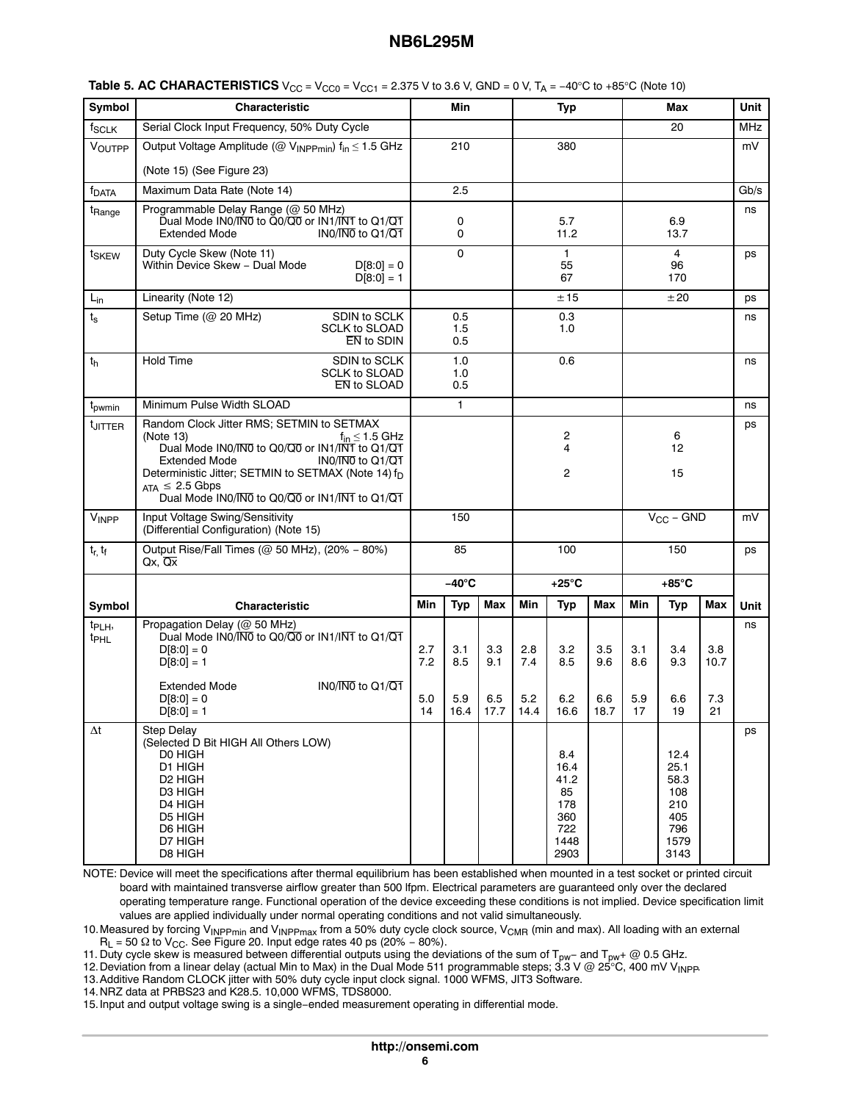| Symbol                                 | Characteristic                                                                                                                                                                                                                                                                                                                        |                         | Min                       |                           |                           | <b>Typ</b>                                                     |                           |                         | Max                                                              |                          | Unit        |
|----------------------------------------|---------------------------------------------------------------------------------------------------------------------------------------------------------------------------------------------------------------------------------------------------------------------------------------------------------------------------------------|-------------------------|---------------------------|---------------------------|---------------------------|----------------------------------------------------------------|---------------------------|-------------------------|------------------------------------------------------------------|--------------------------|-------------|
| f <sub>SCLK</sub>                      | Serial Clock Input Frequency, 50% Duty Cycle                                                                                                                                                                                                                                                                                          |                         |                           |                           |                           |                                                                |                           |                         | 20                                                               |                          | MHz         |
| VOUTPP                                 | Output Voltage Amplitude (@ V <sub>INPPmin</sub> ) f <sub>in</sub> ≤ 1.5 GHz                                                                                                                                                                                                                                                          |                         | 210                       |                           |                           | 380                                                            |                           |                         |                                                                  |                          | mV          |
|                                        | (Note 15) (See Figure 23)                                                                                                                                                                                                                                                                                                             |                         |                           |                           |                           |                                                                |                           |                         |                                                                  |                          |             |
| <sup>†</sup> DATA                      | Maximum Data Rate (Note 14)                                                                                                                                                                                                                                                                                                           | 2.5                     |                           |                           |                           |                                                                |                           |                         |                                                                  |                          | Gb/s        |
| t <sub>Range</sub>                     | Programmable Delay Range (@ 50 MHz)<br>Dual Mode IN0/IN0 to Q0/Q0 or IN1/INT to Q1/Q1<br><b>Extended Mode</b><br>$INO/INO$ to $Q1/\overline{Q1}$                                                                                                                                                                                      | 0<br>0                  |                           |                           |                           | 5.7<br>11.2                                                    |                           | 6.9<br>13.7             |                                                                  |                          | ns          |
| t <sub>SKEW</sub>                      | Duty Cycle Skew (Note 11)<br>Within Device Skew - Dual Mode<br>$D[8:0] = 0$<br>$D[8:0] = 1$                                                                                                                                                                                                                                           |                         | 0                         |                           |                           | 1<br>55<br>67                                                  |                           |                         | 4<br>96<br>170                                                   |                          | ps          |
| $L_{in}$                               | Linearity (Note 12)                                                                                                                                                                                                                                                                                                                   |                         |                           |                           |                           | ±15                                                            |                           |                         | ±20                                                              |                          | ps          |
| $t_{\tt S}$                            | SDIN to SCLK<br>Setup Time (@ 20 MHz)<br><b>SCLK to SLOAD</b><br>EN to SDIN                                                                                                                                                                                                                                                           |                         | 0.5<br>1.5<br>0.5         |                           |                           | 0.3<br>1.0                                                     |                           |                         |                                                                  |                          | ns          |
| th                                     | <b>Hold Time</b><br>SDIN to SCLK<br><b>SCLK to SLOAD</b><br>EN to SLOAD                                                                                                                                                                                                                                                               |                         | 1.0<br>1.0<br>0.5         |                           |                           | 0.6                                                            |                           |                         |                                                                  |                          | ns          |
| t <sub>pwmin</sub>                     | Minimum Pulse Width SLOAD                                                                                                                                                                                                                                                                                                             |                         | $\mathbf{1}$              |                           |                           |                                                                |                           |                         |                                                                  |                          | ns          |
| <sup>t</sup> JITTER                    | Random Clock Jitter RMS; SETMIN to SETMAX<br>(Note 13)<br>$f_{in} \leq 1.5$ GHz<br>Dual Mode IN0/IN0 to Q0/Q0 or IN1/IN1 to Q1/Q1<br>IN0/IN0 to Q1/Q1<br><b>Extended Mode</b><br>Deterministic Jitter; SETMIN to SETMAX (Note 14) f <sub>D</sub><br>$_{\text{ATA}}$ $\leq$ 2.5 Gbps<br>Dual Mode IN0/IN0 to Q0/Q0 or IN1/IN1 to Q1/Q1 |                         |                           |                           |                           | 2<br>4<br>2                                                    |                           |                         | 6<br>12<br>15                                                    |                          | ps          |
| $V_{\mathsf{INPP}}$                    | Input Voltage Swing/Sensitivity<br>(Differential Configuration) (Note 15)                                                                                                                                                                                                                                                             |                         | 150                       |                           |                           |                                                                |                           |                         | $V_{CC}$ – GND                                                   |                          | mV          |
| $t_{r, t_{f}}$                         | Output Rise/Fall Times (@ 50 MHz), (20% - 80%)<br>Qx, Qx                                                                                                                                                                                                                                                                              |                         | 85                        |                           |                           | 100                                                            |                           |                         | 150                                                              |                          | ps          |
|                                        |                                                                                                                                                                                                                                                                                                                                       |                         | $-40^{\circ}$ C           |                           |                           | $+25^{\circ}$ C                                                |                           |                         | $+85^{\circ}$ C                                                  |                          |             |
| Symbol                                 | Characteristic                                                                                                                                                                                                                                                                                                                        | Min                     | <b>Typ</b>                | <b>Max</b>                | Min                       | <b>Typ</b>                                                     | Max                       | Min                     | <b>Typ</b>                                                       | Max                      | <b>Unit</b> |
| t <sub>PLH</sub> ,<br>t <sub>PHL</sub> | Propagation Delay (@ 50 MHz)<br>Dual Mode IN0/IN0 to Q0/Q0 or IN1/IN1 to Q1/Q1<br>$D[8:0] = 0$<br>$D[8:0] = 1$<br>IN0/IN0 to Q1/Q1<br>Extended Mode<br>$D[8:0] = 0$<br>$D[8:0] = 1$                                                                                                                                                   | 2.7<br>7.2<br>5.0<br>14 | 3.1<br>8.5<br>5.9<br>16.4 | 3.3<br>9.1<br>6.5<br>17.7 | 2.8<br>7.4<br>5.2<br>14.4 | 3.2<br>8.5<br>6.2<br>16.6                                      | 3.5<br>9.6<br>6.6<br>18.7 | 3.1<br>8.6<br>5.9<br>17 | 3.4<br>9.3<br>6.6<br>19                                          | 3.8<br>10.7<br>7.3<br>21 | ns          |
| $\Delta t$                             | <b>Step Delay</b><br>(Selected D Bit HIGH All Others LOW)<br>D0 HIGH<br>D1 HIGH<br>D <sub>2</sub> HIGH<br>D3 HIGH<br>D4 HIGH<br>D5 HIGH<br>D6 HIGH<br>D7 HIGH<br>D8 HIGH                                                                                                                                                              |                         |                           |                           |                           | 8.4<br>16.4<br>41.2<br>85<br>178<br>360<br>722<br>1448<br>2903 |                           |                         | 12.4<br>25.1<br>58.3<br>108<br>210<br>405<br>796<br>1579<br>3143 |                          | ps          |

**Table 5. AC CHARACTERISTICS**  $V_{CC} = V_{CC0} = V_{CC1} = 2.375$  V to 3.6 V, GND = 0 V, T<sub>A</sub> = −40°C to +85°C (Note 10)

NOTE: Device will meet the specifications after thermal equilibrium has been established when mounted in a test socket or printed circuit board with maintained transverse airflow greater than 500 lfpm. Electrical parameters are guaranteed only over the declared operating temperature range. Functional operation of the device exceeding these conditions is not implied. Device specification limit values are applied individually under normal operating conditions and not valid simultaneously.

10.Measured by forcing V<sub>INPPmin</sub> and V<sub>INPPmax</sub> from a 50% duty cycle clock source, V<sub>CMR</sub> (min and max). All loading with an external  $\mathsf{R}_{\mathsf{L}}$  = 50  $\Omega$  to V<sub>CC</sub>. See Figure 20. Input edge rates 40 ps (20% – 80%).

11. Duty cycle skew is measured between differential outputs using the deviations of the sum of T<sub>pw</sub>− and T<sub>pw</sub>+ @ 0.5 GHz.

12. Deviation from a linear delay (actual Min to Max) in the Dual Mode 511 programmable steps; 3.3 V @ 25°C, 400 mV V<sub>INPP</sub>.<br>13. Additive Random CLOCK jitter with 50% duty cycle input clock signal. 1000 WFMS, JIT3 Software

14.NRZ data at PRBS23 and K28.5. 10,000 WFMS, TDS8000.

15.Input and output voltage swing is a single−ended measurement operating in differential mode.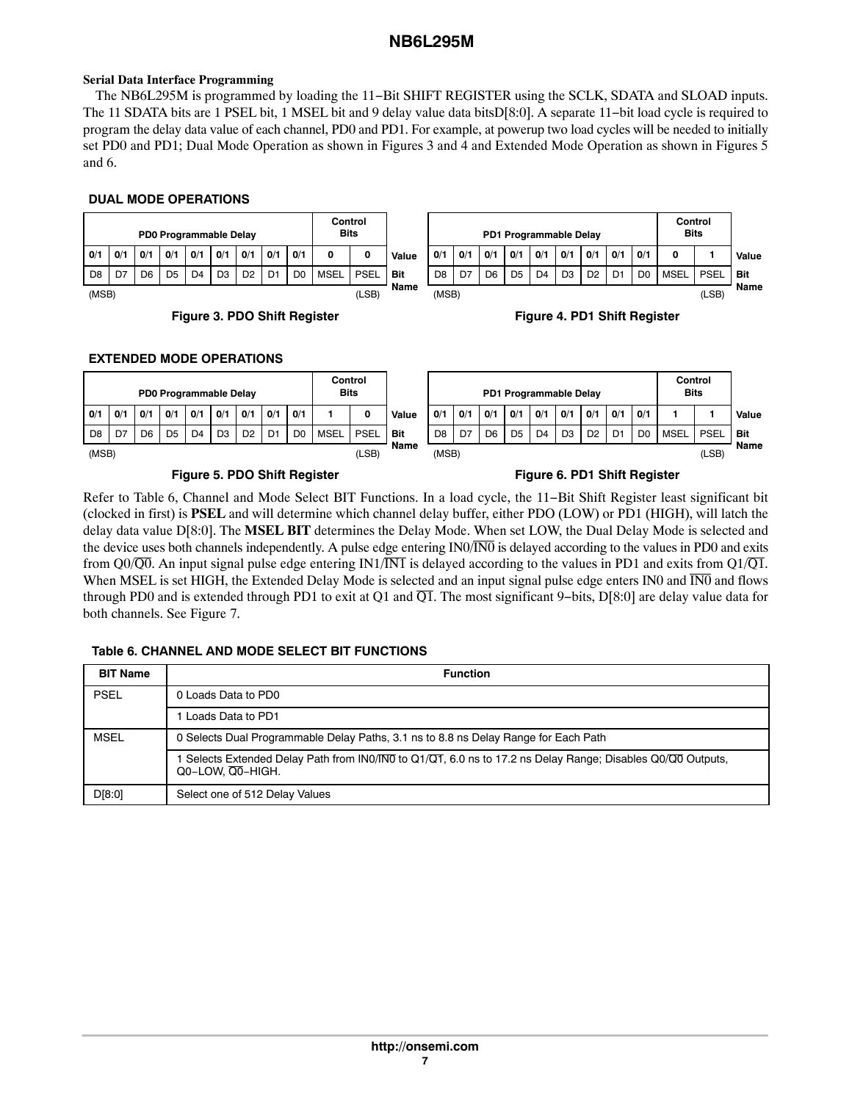# <span id="page-6-0"></span>**Serial Data Interface Programming**

The NB6L295M is programmed by loading the 11−Bit SHIFT REGISTER using the SCLK, SDATA and SLOAD inputs. The 11 SDATA bits are 1 PSEL bit, 1 MSEL bit and 9 delay value data bitsD[8:0]. A separate 11−bit load cycle is required to program the delay data value of each channel, PD0 and PD1. For example, at powerup two load cycles will be needed to initially set PD0 and PD1; Dual Mode Operation as shown in Figures 3 and 4 and Extended Mode Operation as shown in Figures 5 and 6.

## **DUAL MODE OPERATIONS**

|                   | Control<br><b>Bits</b> |             | PD0 Programmable Delay |     |                |     |                |     |     |     |                |  |  |
|-------------------|------------------------|-------------|------------------------|-----|----------------|-----|----------------|-----|-----|-----|----------------|--|--|
| Valı              | 0                      |             | 0/1                    | 0/1 | 0/1            | 0/1 | O/1            | 0/1 | 0/1 | 0/1 | 0/1            |  |  |
| Bit<br><b>Mar</b> | PSEL                   | <b>MSEL</b> | D0                     |     | D <sub>2</sub> | DЗ  | D <sub>4</sub> | D5  | D6  |     | D <sub>8</sub> |  |  |

(MSB) (LSB)





# **EXTENDED MODE OPERATIONS**

|                |     |     |     | PD0 Programmable Delay |                |                |                |                | <b>Bits</b> | Control     |       | PD1 Programmable Delay |     |                |                |                |                | Control<br><b>Bits</b> |                |                |             |             |       |
|----------------|-----|-----|-----|------------------------|----------------|----------------|----------------|----------------|-------------|-------------|-------|------------------------|-----|----------------|----------------|----------------|----------------|------------------------|----------------|----------------|-------------|-------------|-------|
| 0/1            | 0/1 | O/1 | 0/1 | 0/1                    | 0/1            | 0/1            | 0/1            | O/1            |             | 0           | Value | O/1                    | O/1 | O/1            | 0/1            | O/1            | 0/1            | O/1                    | 0/1            | 0/1            |             |             | Value |
| D <sub>8</sub> | D7  | D6  | D5  | D <sub>4</sub>         | D <sub>3</sub> | D <sub>2</sub> | D <sub>1</sub> | D <sub>0</sub> | <b>MSEL</b> | <b>PSEL</b> | Bit   | D <sub>8</sub>         | D7  | D <sub>6</sub> | D <sub>5</sub> | D <sub>4</sub> | D <sub>3</sub> | D <sub>2</sub>         | D <sub>1</sub> | D <sub>0</sub> | <b>MSEL</b> | <b>PSEL</b> | Bit   |
| (MSB)          |     |     |     |                        |                |                |                |                |             | (LSB)       | Name  | (MSB)                  |     |                |                |                |                |                        |                |                |             | (LSB)       | Name  |
|                |     |     |     |                        |                |                |                |                |             |             |       |                        |     |                |                |                |                |                        |                |                |             |             |       |

## **Figure 5. PDO Shift Register Figure 6. PD1 Shift Register**

Refer to Table 6, Channel and Mode Select BIT Functions. In a load cycle, the 11−Bit Shift Register least significant bit (clocked in first) is **PSEL** and will determine which channel delay buffer, either PDO (LOW) or PD1 (HIGH), will latch the delay data value D[8:0]. The **MSEL BIT** determines the Delay Mode. When set LOW, the Dual Delay Mode is selected and the device uses both channels independently. A pulse edge entering IN0/IN0 is delayed according to the values in PD0 and exits from Q0/ $\overline{Q0}$ . An input signal pulse edge entering IN1/IN1 is delayed according to the values in PD1 and exits from Q1/ $\overline{Q1}$ . When MSEL is set HIGH, the Extended Delay Mode is selected and an input signal pulse edge enters IN0 and  $\overline{IN0}$  and flows through PD0 and is extended through PD1 to exit at Q1 and  $\overline{Q1}$ . The most significant 9–bits, D[8:0] are delay value data for both channels. See Figure [7](#page-7-0).

# **Table 6. CHANNEL AND MODE SELECT BIT FUNCTIONS**

| <b>BIT Name</b> | <b>Function</b>                                                                                                               |  |  |  |  |
|-----------------|-------------------------------------------------------------------------------------------------------------------------------|--|--|--|--|
| <b>PSEL</b>     | 0 Loads Data to PD0                                                                                                           |  |  |  |  |
|                 | Loads Data to PD1                                                                                                             |  |  |  |  |
| MSEL            | 0 Selects Dual Programmable Delay Paths, 3.1 ns to 8.8 ns Delay Range for Each Path                                           |  |  |  |  |
|                 | Selects Extended Delay Path from INO/INO to Q1/Q1, 6.0 ns to 17.2 ns Delay Range; Disables Q0/Q0 Outputs,<br>Q0-LOW. Q0-HIGH. |  |  |  |  |
| D[8:0]          | Select one of 512 Delay Values                                                                                                |  |  |  |  |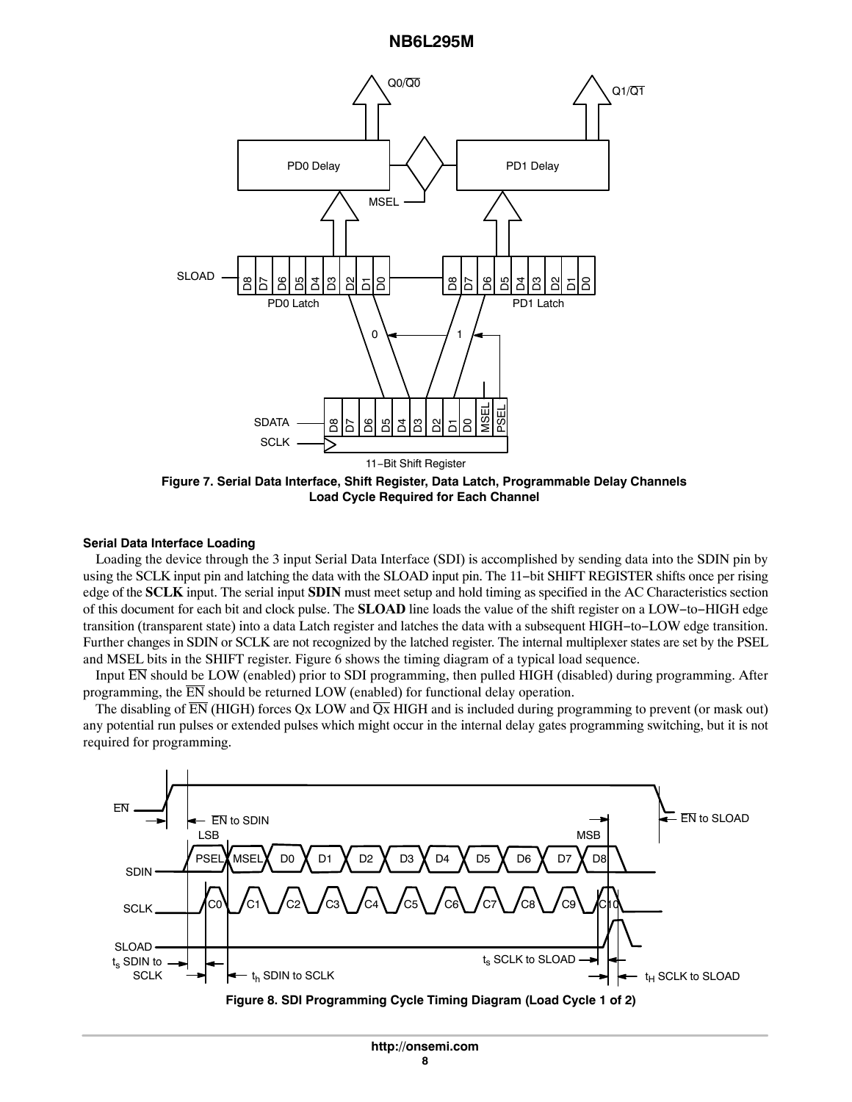<span id="page-7-0"></span>

**Figure 7. Serial Data Interface, Shift Register, Data Latch, Programmable Delay Channels Load Cycle Required for Each Channel**

### **Serial Data Interface Loading**

Loading the device through the 3 input Serial Data Interface (SDI) is accomplished by sending data into the SDIN pin by using the SCLK input pin and latching the data with the SLOAD input pin. The 11−bit SHIFT REGISTER shifts once per rising edge of the **SCLK** input. The serial input **SDIN** must meet setup and hold timing as specified in the AC Characteristics section of this document for each bit and clock pulse. The **SLOAD** line loads the value of the shift register on a LOW−to−HIGH edge transition (transparent state) into a data Latch register and latches the data with a subsequent HIGH−to−LOW edge transition. Further changes in SDIN or SCLK are not recognized by the latched register. The internal multiplexer states are set by the PSEL and MSEL bits in the SHIFT register. Figure [6](#page-6-0) shows the timing diagram of a typical load sequence.

Input  $\overline{EN}$  should be LOW (enabled) prior to SDI programming, then pulled HIGH (disabled) during programming. After programming, the  $\overline{EN}$  should be returned LOW (enabled) for functional delay operation.

The disabling of  $\overline{EN}$  (HIGH) forces Qx LOW and  $\overline{Qx}$  HIGH and is included during programming to prevent (or mask out) any potential run pulses or extended pulses which might occur in the internal delay gates programming switching, but it is not required for programming.



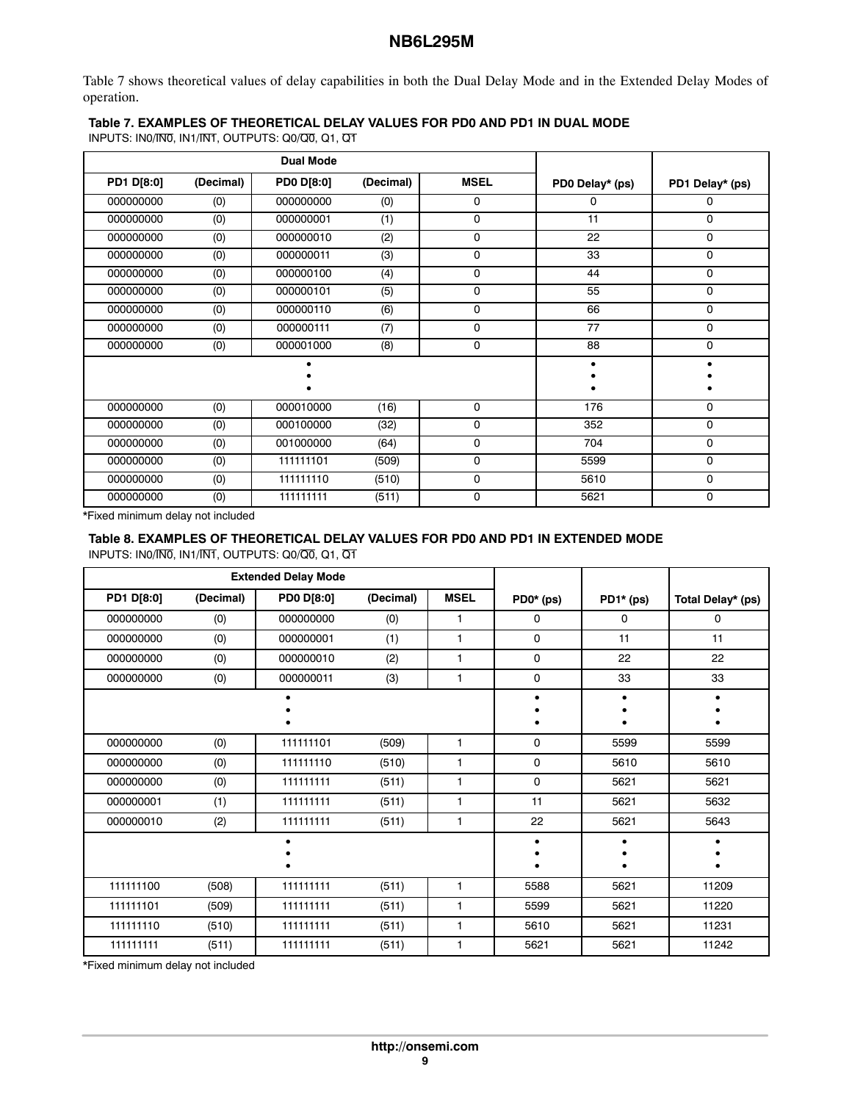Table 7 shows theoretical values of delay capabilities in both the Dual Delay Mode and in the Extended Delay Modes of operation.

## **Table 7. EXAMPLES OF THEORETICAL DELAY VALUES FOR PD0 AND PD1 IN DUAL MODE**

INPUTS: IN0/IN0, IN1/INT, OUTPUTS: Q0/Q0, Q1, Q1

|                   |           | <b>Dual Mode</b>  |           |             |                 |                 |
|-------------------|-----------|-------------------|-----------|-------------|-----------------|-----------------|
| <b>PD1 D[8:0]</b> | (Decimal) | <b>PD0 D[8:0]</b> | (Decimal) | <b>MSEL</b> | PD0 Delay* (ps) | PD1 Delay* (ps) |
| 000000000         | (0)       | 000000000         | (0)       | 0           | 0               | 0               |
| 000000000         | (0)       | 000000001         | (1)       | 0           | 11              | 0               |
| 000000000         | (0)       | 000000010         | (2)       | 0           | 22              | 0               |
| 000000000         | (0)       | 000000011         | (3)       | 0           | 33              | 0               |
| 000000000         | (0)       | 000000100         | (4)       | 0           | 44              | 0               |
| 000000000         | (0)       | 000000101         | (5)       | 0           | 55              | 0               |
| 000000000         | (0)       | 000000110         | (6)       | 0           | 66              | 0               |
| 000000000         | (0)       | 000000111         | (7)       | 0           | 77              | 0               |
| 000000000         | (0)       | 000001000         | (8)       | 0           | 88              | $\mathbf 0$     |
|                   |           |                   |           |             |                 |                 |
|                   |           |                   |           |             |                 |                 |
| 000000000         | (0)       | 000010000         | (16)      | 0           | 176             | 0               |
| 000000000         | (0)       | 000100000         | (32)      | 0           | 352             | 0               |
| 000000000         | (0)       | 001000000         | (64)      | 0           | 704             | 0               |
| 000000000         | (0)       | 111111101         | (509)     | 0           | 5599            | 0               |
| 000000000         | (0)       | 111111110         | (510)     | 0           | 5610            | 0               |
| 000000000         | (0)       | 111111111         | (511)     | 0           | 5621            | 0               |

\*Fixed minimum delay not included

# **Table 8. EXAMPLES OF THEORETICAL DELAY VALUES FOR PD0 AND PD1 IN EXTENDED MODE**

INPUTS: IN0/IN0, IN1/IN1, OUTPUTS: Q0/Q0, Q1, Q1

|            |           | <b>Extended Delay Mode</b> |           |              |           |           |                   |
|------------|-----------|----------------------------|-----------|--------------|-----------|-----------|-------------------|
| PD1 D[8:0] | (Decimal) | <b>PD0 D[8:0]</b>          | (Decimal) | <b>MSEL</b>  | PD0* (ps) | PD1* (ps) | Total Delay* (ps) |
| 000000000  | (0)       | 000000000                  | (0)       | 1            | 0         | 0         | 0                 |
| 000000000  | (0)       | 000000001                  | (1)       | 1            | 0         | 11        | 11                |
| 000000000  | (0)       | 000000010                  | (2)       | 1            | 0         | 22        | 22                |
| 000000000  | (0)       | 000000011                  | (3)       | 1            | 0         | 33        | 33                |
|            |           |                            |           |              | $\bullet$ |           |                   |
|            |           |                            |           |              |           |           |                   |
| 000000000  | (0)       | 111111101                  | (509)     | 1            | 0         | 5599      | 5599              |
| 000000000  | (0)       | 111111110                  | (510)     | 1            | 0         | 5610      | 5610              |
| 000000000  | (0)       | 111111111                  | (511)     | 1            | 0         | 5621      | 5621              |
| 000000001  | (1)       | 111111111                  | (511)     | 1            | 11        | 5621      | 5632              |
| 000000010  | (2)       | 111111111                  | (511)     | 1            | 22        | 5621      | 5643              |
|            |           | $\bullet$                  |           |              | $\bullet$ | $\bullet$ |                   |
|            |           |                            |           |              |           |           |                   |
| 111111100  | (508)     | 111111111                  | (511)     | 1            | 5588      | 5621      | 11209             |
| 111111101  | (509)     | 111111111                  | (511)     | $\mathbf{1}$ | 5599      | 5621      | 11220             |
| 111111110  | (510)     | 111111111                  | (511)     | 1            | 5610      | 5621      | 11231             |
| 111111111  | (511)     | 111111111                  | (511)     | 1            | 5621      | 5621      | 11242             |

\*Fixed minimum delay not included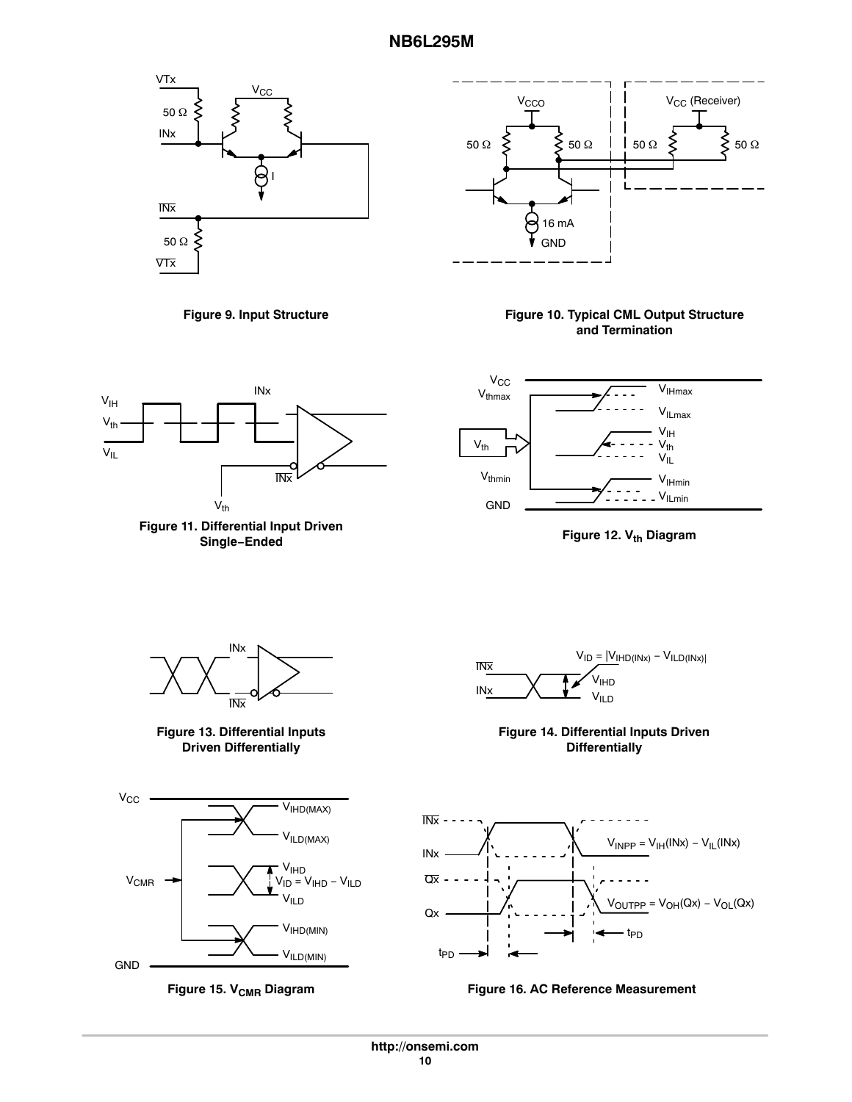<span id="page-9-0"></span>



### **Figure 9. Input Structure**

### **Figure 10. Typical CML Output Structure and Termination**











**Figure 13. Differential Inputs Driven Differentially**







**Figure 14. Differential Inputs Driven Differentially**



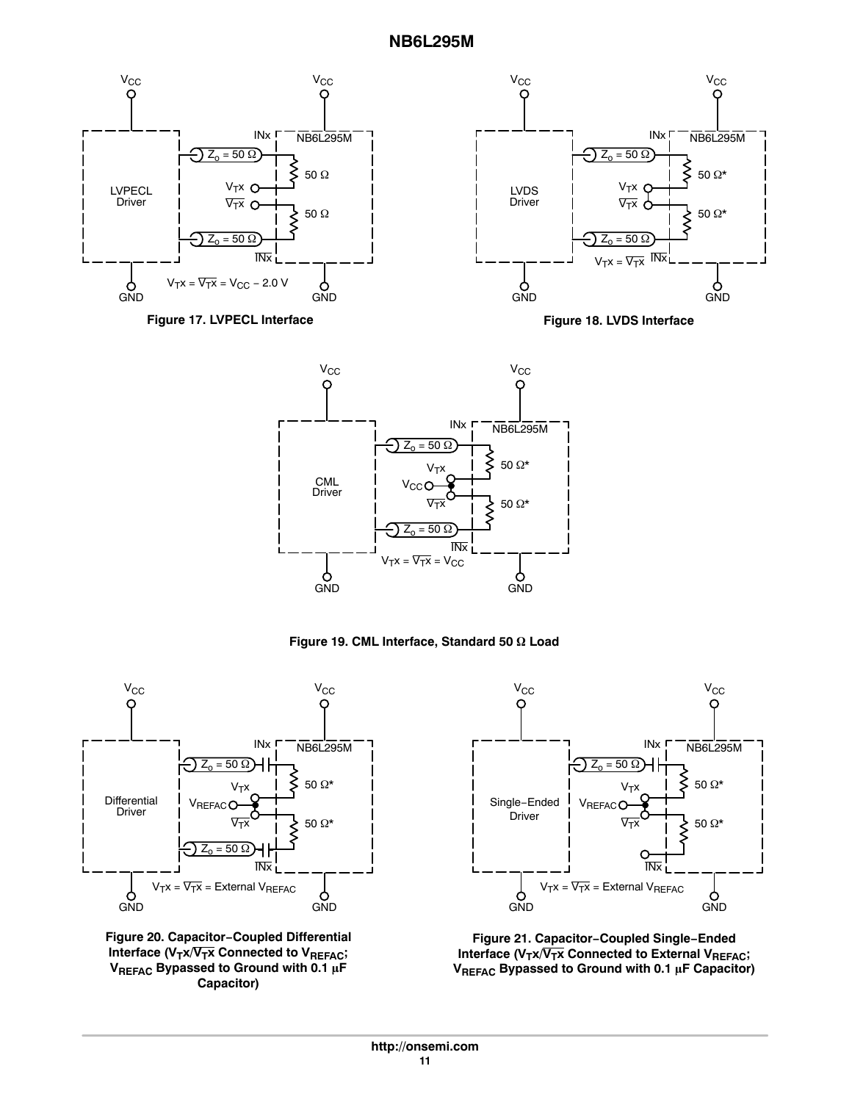







**Figure 19. CML Interface, Standard 50 Ω Load** 



**Figure 20. Capacitor−Coupled Differential** Interface (V<sub>T</sub>x/V<sub>T</sub>x Connected to V<sub>REFAC</sub>; **VREFAC Bypassed to Ground with 0.1 F Capacitor)**



**Figure 21. Capacitor−Coupled Single−Ended** Interface (V<sub>T</sub>x/V<sub>T</sub>x Connected to External V<sub>REFAC</sub>; VREFAC Bypassed to Ground with 0.1 µF Capacitor)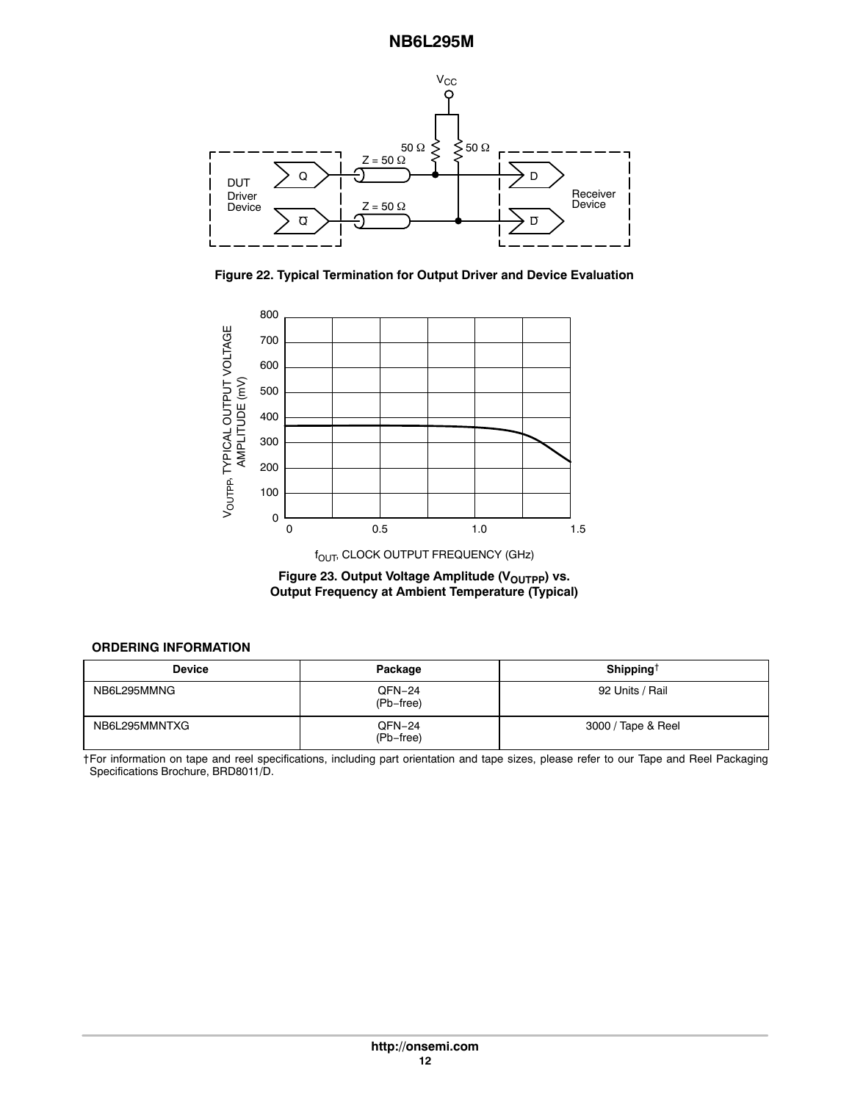<span id="page-11-0"></span>

**Figure 22. Typical Termination for Output Driver and Device Evaluation**



 $f_{\text{OUT}}$ , CLOCK OUTPUT FREQUENCY (GHz)

Figure 23. Output Voltage Amplitude (V<sub>OUTPP</sub>) vs. **Output Frequency at Ambient Temperature (Typical)**

# **ORDERING INFORMATION**

| <b>Device</b> | Package             | Shipping <sup>†</sup> |  |  |  |
|---------------|---------------------|-----------------------|--|--|--|
| NB6L295MMNG   | QFN-24<br>(Pb-free) | 92 Units / Rail       |  |  |  |
| NB6L295MMNTXG | QFN-24<br>(Pb-free) | 3000 / Tape & Reel    |  |  |  |

†For information on tape and reel specifications, including part orientation and tape sizes, please refer to our Tape and Reel Packaging Specifications Brochure, BRD8011/D.